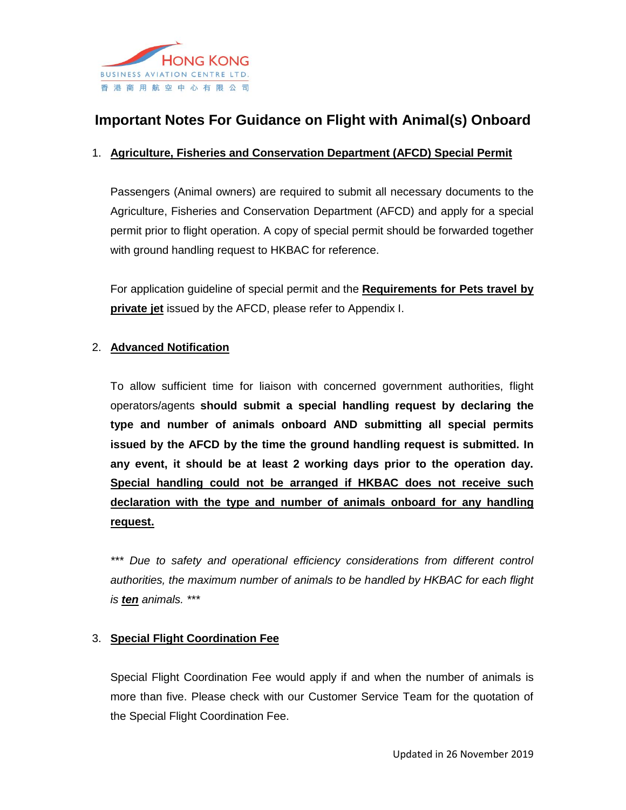

# **Important Notes For Guidance on Flight with Animal(s) Onboard**

## 1. **Agriculture, Fisheries and Conservation Department (AFCD) Special Permit**

Passengers (Animal owners) are required to submit all necessary documents to the Agriculture, Fisheries and Conservation Department (AFCD) and apply for a special permit prior to flight operation. A copy of special permit should be forwarded together with ground handling request to HKBAC for reference.

For application guideline of special permit and the **Requirements for Pets travel by private jet** issued by the AFCD, please refer to Appendix I.

#### 2. **Advanced Notification**

To allow sufficient time for liaison with concerned government authorities, flight operators/agents **should submit a special handling request by declaring the type and number of animals onboard AND submitting all special permits issued by the AFCD by the time the ground handling request is submitted. In any event, it should be at least 2 working days prior to the operation day. Special handling could not be arranged if HKBAC does not receive such declaration with the type and number of animals onboard for any handling request.**

*\*\*\* Due to safety and operational efficiency considerations from different control authorities, the maximum number of animals to be handled by HKBAC for each flight is ten animals. \*\*\**

## 3. **Special Flight Coordination Fee**

Special Flight Coordination Fee would apply if and when the number of animals is more than five. Please check with our Customer Service Team for the quotation of the Special Flight Coordination Fee.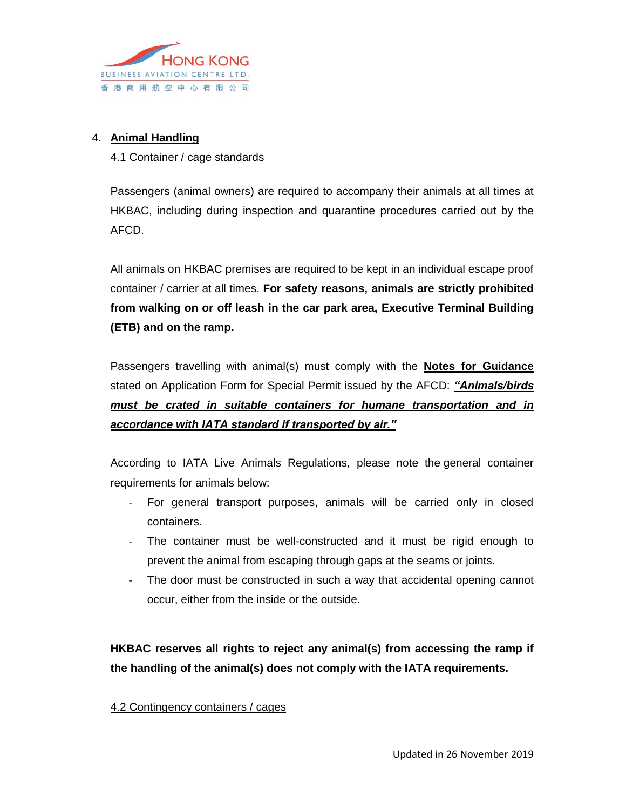

## 4. **Animal Handling**

#### 4.1 Container / cage standards

Passengers (animal owners) are required to accompany their animals at all times at HKBAC, including during inspection and quarantine procedures carried out by the AFCD.

All animals on HKBAC premises are required to be kept in an individual escape proof container / carrier at all times. **For safety reasons, animals are strictly prohibited from walking on or off leash in the car park area, Executive Terminal Building (ETB) and on the ramp.** 

Passengers travelling with animal(s) must comply with the **Notes for Guidance** stated on Application Form for Special Permit issued by the AFCD: *"Animals/birds must be crated in suitable containers for humane transportation and in accordance with IATA standard if transported by air."*

According to IATA Live Animals Regulations, please note the general container requirements for animals below:

- For general transport purposes, animals will be carried only in closed containers.
- The container must be well-constructed and it must be rigid enough to prevent the animal from escaping through gaps at the seams or joints.
- The door must be constructed in such a way that accidental opening cannot occur, either from the inside or the outside.

**HKBAC reserves all rights to reject any animal(s) from accessing the ramp if the handling of the animal(s) does not comply with the IATA requirements.**

#### 4.2 Contingency containers / cages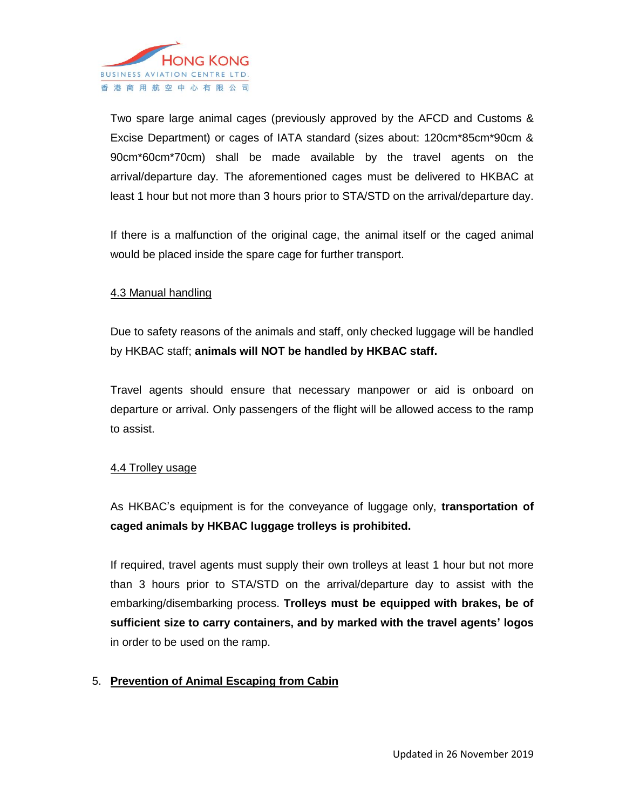

Two spare large animal cages (previously approved by the AFCD and Customs & Excise Department) or cages of IATA standard (sizes about: 120cm\*85cm\*90cm & 90cm\*60cm\*70cm) shall be made available by the travel agents on the arrival/departure day. The aforementioned cages must be delivered to HKBAC at least 1 hour but not more than 3 hours prior to STA/STD on the arrival/departure day.

If there is a malfunction of the original cage, the animal itself or the caged animal would be placed inside the spare cage for further transport.

#### 4.3 Manual handling

Due to safety reasons of the animals and staff, only checked luggage will be handled by HKBAC staff; **animals will NOT be handled by HKBAC staff.**

Travel agents should ensure that necessary manpower or aid is onboard on departure or arrival. Only passengers of the flight will be allowed access to the ramp to assist.

#### 4.4 Trolley usage

As HKBAC's equipment is for the conveyance of luggage only, **transportation of caged animals by HKBAC luggage trolleys is prohibited.**

If required, travel agents must supply their own trolleys at least 1 hour but not more than 3 hours prior to STA/STD on the arrival/departure day to assist with the embarking/disembarking process. **Trolleys must be equipped with brakes, be of sufficient size to carry containers, and by marked with the travel agents' logos** in order to be used on the ramp.

#### 5. **Prevention of Animal Escaping from Cabin**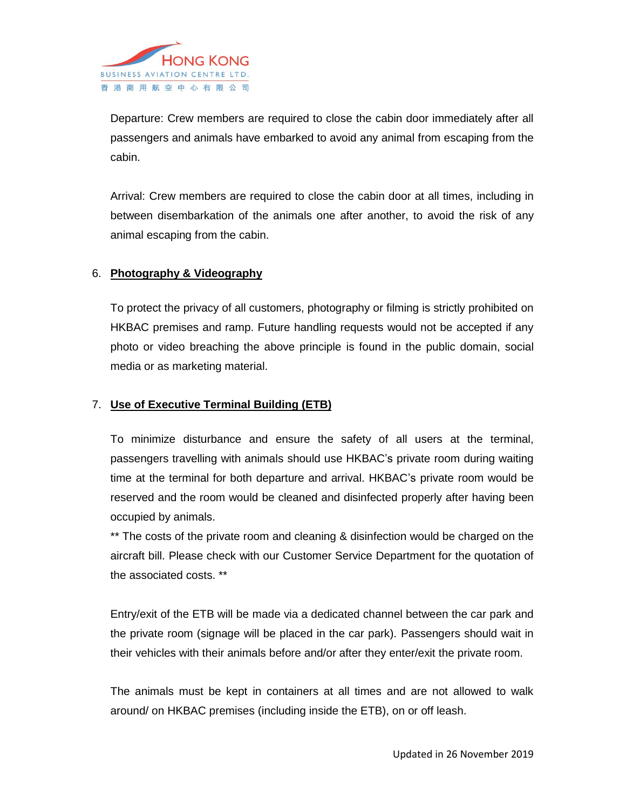

Departure: Crew members are required to close the cabin door immediately after all passengers and animals have embarked to avoid any animal from escaping from the cabin.

Arrival: Crew members are required to close the cabin door at all times, including in between disembarkation of the animals one after another, to avoid the risk of any animal escaping from the cabin.

#### 6. **Photography & Videography**

To protect the privacy of all customers, photography or filming is strictly prohibited on HKBAC premises and ramp. Future handling requests would not be accepted if any photo or video breaching the above principle is found in the public domain, social media or as marketing material.

## 7. **Use of Executive Terminal Building (ETB)**

To minimize disturbance and ensure the safety of all users at the terminal, passengers travelling with animals should use HKBAC's private room during waiting time at the terminal for both departure and arrival. HKBAC's private room would be reserved and the room would be cleaned and disinfected properly after having been occupied by animals.

\*\* The costs of the private room and cleaning & disinfection would be charged on the aircraft bill. Please check with our Customer Service Department for the quotation of the associated costs. \*\*

Entry/exit of the ETB will be made via a dedicated channel between the car park and the private room (signage will be placed in the car park). Passengers should wait in their vehicles with their animals before and/or after they enter/exit the private room.

The animals must be kept in containers at all times and are not allowed to walk around/ on HKBAC premises (including inside the ETB), on or off leash.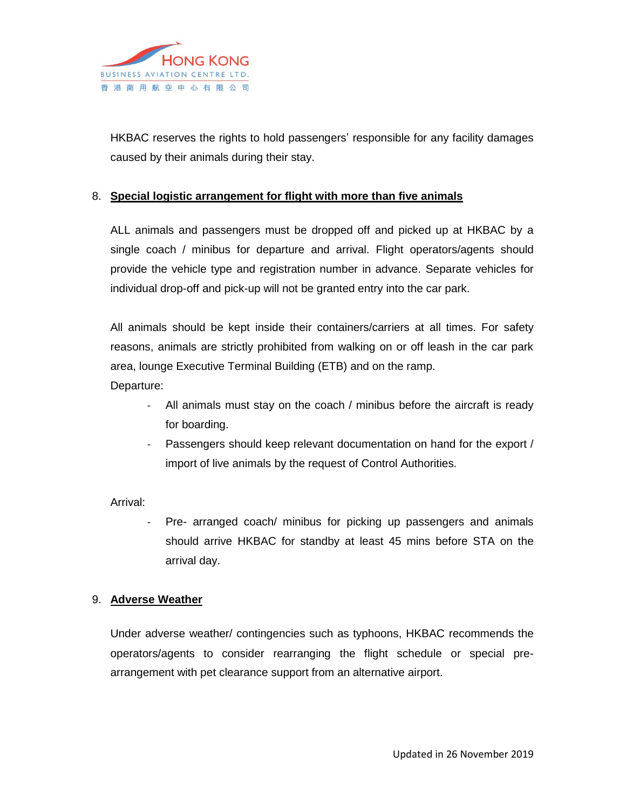

HKBAC reserves the rights to hold passengers' responsible for any facility damages caused by their animals during their stay.

#### 8. **Special logistic arrangement for flight with more than five animals**

ALL animals and passengers must be dropped off and picked up at HKBAC by a single coach / minibus for departure and arrival. Flight operators/agents should provide the vehicle type and registration number in advance. Separate vehicles for individual drop-off and pick-up will not be granted entry into the car park.

All animals should be kept inside their containers/carriers at all times. For safety reasons, animals are strictly prohibited from walking on or off leash in the car park area, lounge Executive Terminal Building (ETB) and on the ramp.

Departure:

- All animals must stay on the coach / minibus before the aircraft is ready for boarding.
- Passengers should keep relevant documentation on hand for the export / import of live animals by the request of Control Authorities.

Arrival:

Pre- arranged coach/ minibus for picking up passengers and animals should arrive HKBAC for standby at least 45 mins before STA on the arrival day.

#### 9. **Adverse Weather**

Under adverse weather/ contingencies such as typhoons, HKBAC recommends the operators/agents to consider rearranging the flight schedule or special prearrangement with pet clearance support from an alternative airport.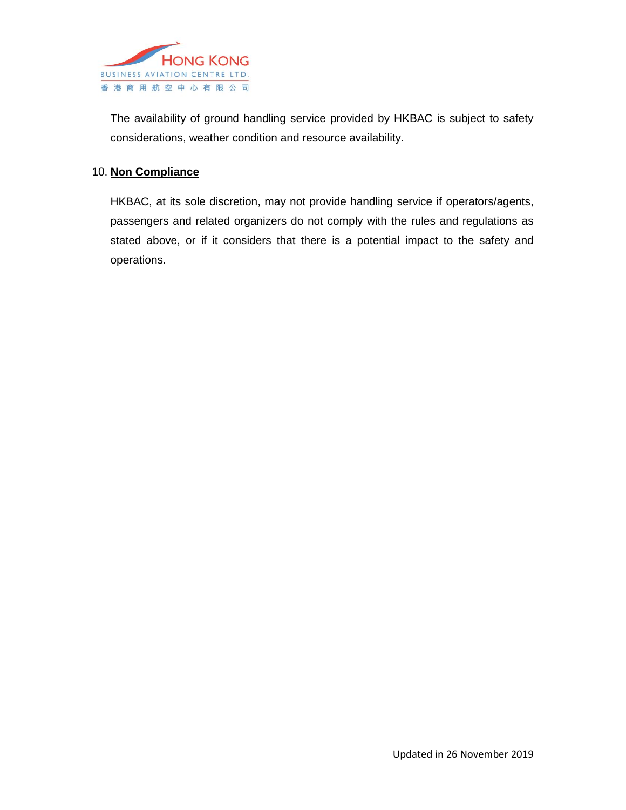

The availability of ground handling service provided by HKBAC is subject to safety considerations, weather condition and resource availability.

## 10. **Non Compliance**

HKBAC, at its sole discretion, may not provide handling service if operators/agents, passengers and related organizers do not comply with the rules and regulations as stated above, or if it considers that there is a potential impact to the safety and operations.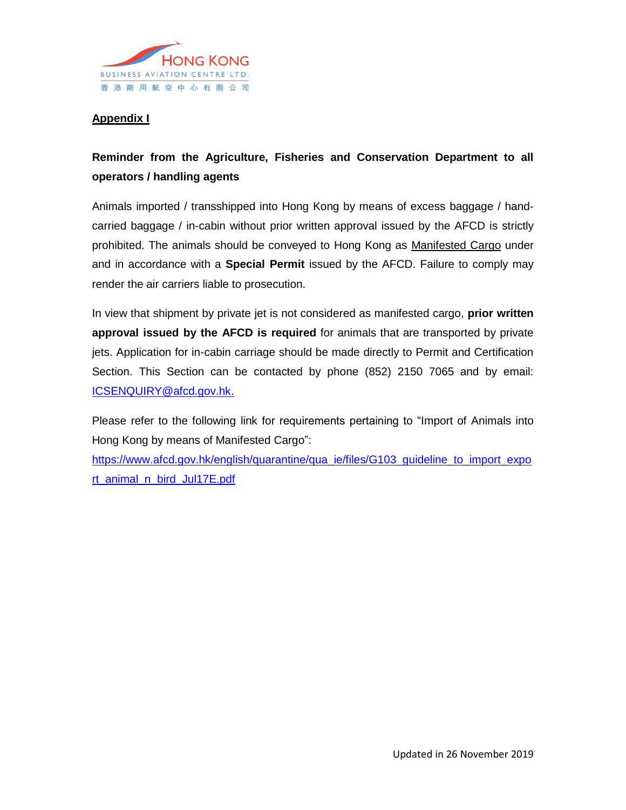

## **Appendix I**

## **Reminder from the Agriculture, Fisheries and Conservation Department to all operators / handling agents**

Animals imported / transshipped into Hong Kong by means of excess baggage / handcarried baggage / in-cabin without prior written approval issued by the AFCD is strictly prohibited. The animals should be conveyed to Hong Kong as Manifested Cargo under and in accordance with a **Special Permit** issued by the AFCD. Failure to comply may render the air carriers liable to prosecution.

In view that shipment by private jet is not considered as manifested cargo, **prior written approval issued by the AFCD is required** for animals that are transported by private jets. Application for in-cabin carriage should be made directly to Permit and Certification Section. This Section can be contacted by phone (852) 2150 7065 and by email: [ICSENQUIRY@afcd.gov.hk.](mailto:ICSENQUIRY@afcd.gov.hk)

Please refer to the following link for requirements pertaining to "Import of Animals into Hong Kong by means of Manifested Cargo":

[https://www.afcd.gov.hk/english/quarantine/qua\\_ie/files/G103\\_guideline\\_to\\_import\\_expo](https://www.afcd.gov.hk/english/quarantine/qua_ie/files/G103_guideline_to_import_export_animal_n_bird_Jul17E.pdf) [rt\\_animal\\_n\\_bird\\_Jul17E.pdf](https://www.afcd.gov.hk/english/quarantine/qua_ie/files/G103_guideline_to_import_export_animal_n_bird_Jul17E.pdf)